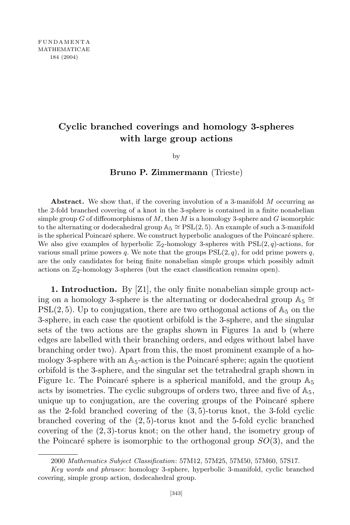## **Cyclic branched coverings and homology 3-spheres with large group actions**

by

**Bruno P. Zimmermann** (Trieste)

**Abstract.** We show that, if the covering involution of a 3-manifold *M* occurring as the 2-fold branched covering of a knot in the 3-sphere is contained in a finite nonabelian simple group *G* of diffeomorphisms of *M*, then *M* is a homology 3-sphere and *G* isomorphic to the alternating or dodecahedral group A5 *∼*= PSL(2*,* 5). An example of such a 3-manifold is the spherical Poincaré sphere. We construct hyperbolic analogues of the Poincaré sphere. We also give examples of hyperbolic  $\mathbb{Z}_2$ -homology 3-spheres with  $PSL(2,q)$ -actions, for various small prime powers  $q$ . We note that the groups  $PSL(2,q)$ , for odd prime powers  $q$ , are the only candidates for being finite nonabelian simple groups which possibly admit actions on  $\mathbb{Z}_2$ -homology 3-spheres (but the exact classification remains open).

**1. Introduction.** By [Z1], the only finite nonabelian simple group acting on a homology 3-sphere is the alternating or dodecahedral group A<sup>5</sup> *∼*=  $PSL(2, 5)$ . Up to conjugation, there are two orthogonal actions of  $\mathbb{A}_5$  on the 3-sphere, in each case the quotient orbifold is the 3-sphere, and the singular sets of the two actions are the graphs shown in Figures 1a and b (where edges are labelled with their branching orders, and edges without label have branching order two). Apart from this, the most prominent example of a homology 3-sphere with an  $\mathbb{A}_5$ -action is the Poincaré sphere; again the quotient orbifold is the 3-sphere, and the singular set the tetrahedral graph shown in Figure 1c. The Poincaré sphere is a spherical manifold, and the group  $\mathbb{A}_5$ acts by isometries. The cyclic subgroups of orders two, three and five of  $\mathbb{A}_5$ , unique up to conjugation, are the covering groups of the Poincaré sphere as the 2-fold branched covering of the (3*,* 5)-torus knot, the 3-fold cyclic branched covering of the (2*,* 5)-torus knot and the 5-fold cyclic branched covering of the (2*,* 3)-torus knot; on the other hand, the isometry group of the Poincaré sphere is isomorphic to the orthogonal group  $SO(3)$ , and the

<sup>2000</sup> *Mathematics Subject Classification*: 57M12, 57M25, 57M50, 57M60, 57S17.

*Key words and phrases*: homology 3-sphere, hyperbolic 3-manifold, cyclic branched covering, simple group action, dodecahedral group.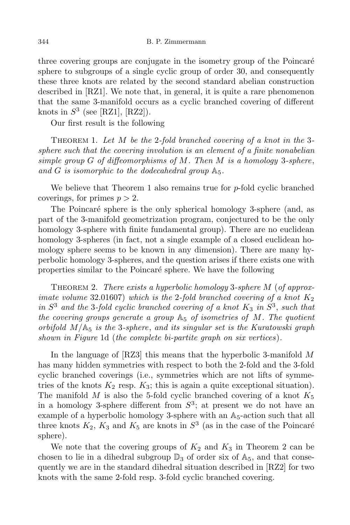three covering groups are conjugate in the isometry group of the Poincaré sphere to subgroups of a single cyclic group of order 30, and consequently these three knots are related by the second standard abelian construction described in [RZ1]. We note that, in general, it is quite a rare phenomenon that the same 3-manifold occurs as a cyclic branched covering of different knots in  $S^3$  (see [RZ1], [RZ2]).

Our first result is the following

Theorem 1. *Let M be the* 2*-fold branched covering of a knot in the* 3 *sphere such that the covering involution is an element of a finite nonabelian simple group G of diffeomorphisms of M. Then M is a homology* 3*-sphere*, and *G* is isomorphic to the dodecahedral group  $A_5$ .

We believe that Theorem 1 also remains true for *p*-fold cyclic branched coverings, for primes  $p > 2$ .

The Poincaré sphere is the only spherical homology 3-sphere (and, as part of the 3-manifold geometrization program, conjectured to be the only homology 3-sphere with finite fundamental group). There are no euclidean homology 3-spheres (in fact, not a single example of a closed euclidean homology sphere seems to be known in any dimension). There are many hyperbolic homology 3-spheres, and the question arises if there exists one with properties similar to the Poincaré sphere. We have the following

Theorem 2. *There exists a hyperbolic homology* 3*-sphere M* (*of approximate volume* 32*.*01607) *which is the* 2*-fold branched covering of a knot K*<sup>2</sup> *in S* <sup>3</sup> *and the* 3*-fold cyclic branched covering of a knot K*<sup>3</sup> *in S* 3 , *such that the covering groups generate a group* A<sup>5</sup> *of isometries of M. The quotient orbifold M/*A<sup>5</sup> *is the* 3*-sphere*, *and its singular set is the Kuratowski graph shown in Figure* 1d (*the complete bi-partite graph on six vertices*)*.*

In the language of [RZ3] this means that the hyperbolic 3-manifold *M* has many hidden symmetries with respect to both the 2-fold and the 3-fold cyclic branched coverings (i.e., symmetries which are not lifts of symmetries of the knots  $K_2$  resp.  $K_3$ ; this is again a quite exceptional situation). The manifold  $M$  is also the 5-fold cyclic branched covering of a knot  $K_5$ in a homology 3-sphere different from  $S^3$ ; at present we do not have an example of a hyperbolic homology 3-sphere with an  $A_5$ -action such that all three knots  $K_2$ ,  $K_3$  and  $K_5$  are knots in  $S^3$  (as in the case of the Poincaré sphere).

We note that the covering groups of  $K_2$  and  $K_3$  in Theorem 2 can be chosen to lie in a dihedral subgroup  $\mathbb{D}_3$  of order six of  $\mathbb{A}_5$ , and that consequently we are in the standard dihedral situation described in [RZ2] for two knots with the same 2-fold resp. 3-fold cyclic branched covering.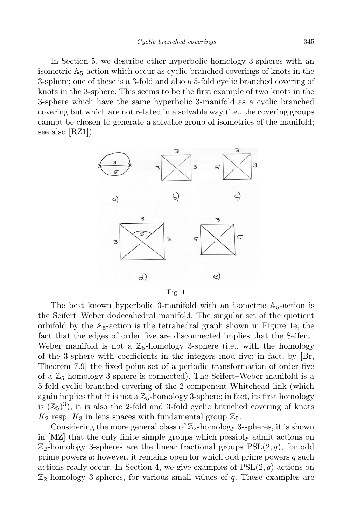In Section 5, we describe other hyperbolic homology 3-spheres with an isometric  $A_5$ -action which occur as cyclic branched coverings of knots in the 3-sphere; one of these is a 3-fold and also a 5-fold cyclic branched covering of knots in the 3-sphere. This seems to be the first example of two knots in the 3-sphere which have the same hyperbolic 3-manifold as a cyclic branched covering but which are not related in a solvable way (i.e., the covering groups cannot be chosen to generate a solvable group of isometries of the manifold; see also [RZ1]).



Fig. 1

The best known hyperbolic 3-manifold with an isometric  $A_5$ -action is the Seifert–Weber dodecahedral manifold. The singular set of the quotient orbifold by the  $A_5$ -action is the tetrahedral graph shown in Figure 1e; the fact that the edges of order five are disconnected implies that the Seifert– Weber manifold is not a  $\mathbb{Z}_5$ -homology 3-sphere (i.e., with the homology of the 3-sphere with coefficients in the integers mod five; in fact, by [Br, Theorem 7.9] the fixed point set of a periodic transformation of order five of a  $\mathbb{Z}_5$ -homology 3-sphere is connected). The Seifert–Weber manifold is a 5-fold cyclic branched covering of the 2-component Whitehead link (which again implies that it is not a  $\mathbb{Z}_5$ -homology 3-sphere; in fact, its first homology is  $(\mathbb{Z}_5)^3$ ; it is also the 2-fold and 3-fold cyclic branched covering of knots  $K_2$  resp.  $K_3$  in lens spaces with fundamental group  $\mathbb{Z}_5$ .

Considering the more general class of  $\mathbb{Z}_2$ -homology 3-spheres, it is shown in [MZ] that the only finite simple groups which possibly admit actions on  $\mathbb{Z}_2$ -homology 3-spheres are the linear fractional groups  $PSL(2,q)$ , for odd prime powers *q*; however, it remains open for which odd prime powers *q* such actions really occur. In Section 4, we give examples of  $PSL(2, q)$ -actions on  $\mathbb{Z}_2$ -homology 3-spheres, for various small values of *q*. These examples are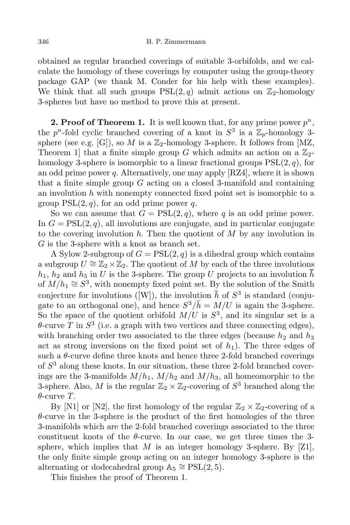## 346 B. P. Zimmermann

obtained as regular branched coverings of suitable 3-orbifolds, and we calculate the homology of these coverings by computer using the group-theory package GAP (we thank M. Conder for his help with these examples). We think that all such groups  $PSL(2,q)$  admit actions on  $\mathbb{Z}_2$ -homology 3-spheres but have no method to prove this at present.

**2. Proof of Theorem 1.** It is well known that, for any prime power *p n*, the  $p^n$ -fold cyclic branched covering of a knot in  $S^3$  is a  $\mathbb{Z}_p$ -homology 3sphere (see e.g. [G]), so *M* is a  $\mathbb{Z}_2$ -homology 3-sphere. It follows from [MZ, Theorem 1 that a finite simple group *G* which admits an action on a  $\mathbb{Z}_2$ homology 3-sphere is isomorphic to a linear fractional groups PSL(2*, q*), for an odd prime power *q*. Alternatively, one may apply [RZ4], where it is shown that a finite simple group *G* acting on a closed 3-manifold and containing an involution *h* with nonempty connected fixed point set is isomorphic to a group  $PSL(2, q)$ , for an odd prime power q.

So we can assume that  $G = \text{PSL}(2, q)$ , where q is an odd prime power. In  $G = \text{PSL}(2, q)$ , all involutions are conjugate, and in particular conjugate to the covering involution *h*. Then the quotient of *M* by any involution in *G* is the 3-sphere with a knot as branch set.

A Sylow 2-subgroup of  $G = \text{PSL}(2, q)$  is a dihedral group which contains a subgroup  $U \cong \mathbb{Z}_2 \times \mathbb{Z}_2$ . The quotient of *M* by each of the three involutions  $h_1$ ,  $h_2$  and  $h_3$  in *U* is the 3-sphere. The group *U* projects to an involution  $\bar{h}$ of  $M/h_1 \cong S^3$ , with nonempty fixed point set. By the solution of the Smith conjecture for involutions ([W]), the involution  $\bar{h}$  of  $S^3$  is standard (conjugate to an orthogonal one), and hence  $S^3/\bar{h} = M/U$  is again the 3-sphere. So the space of the quotient orbifold  $M/U$  is  $S^3$ , and its singular set is a  $\theta$ -curve *T* in  $S^3$  (i.e. a graph with two vertices and three connecting edges), with branching order two associated to the three edges (because  $h_2$  and  $h_3$ ) act as strong inversions on the fixed point set of  $h_1$ ). The three edges of such a  $\theta$ -curve define three knots and hence three 2-fold branched coverings of *S* <sup>3</sup> along these knots. In our situation, these three 2-fold branched coverings are the 3-manifolds  $M/h_1$ ,  $M/h_2$  and  $M/h_3$ , all homeomorphic to the 3-sphere. Also, *M* is the regular  $\mathbb{Z}_2 \times \mathbb{Z}_2$ -covering of  $S^3$  branched along the *θ*-curve *T*.

By [N1] or [N2], the first homology of the regular  $\mathbb{Z}_2 \times \mathbb{Z}_2$ -covering of a *θ*-curve in the 3-sphere is the product of the first homologies of the three 3-manifolds which are the 2-fold branched coverings associated to the three constituent knots of the  $\theta$ -curve. In our case, we get three times the 3sphere, which implies that *M* is an integer homology 3-sphere. By  $[Z1]$ , the only finite simple group acting on an integer homology 3-sphere is the alternating or dodecahedral group  $\mathbb{A}_5 \cong \mathrm{PSL}(2,5)$ .

This finishes the proof of Theorem 1.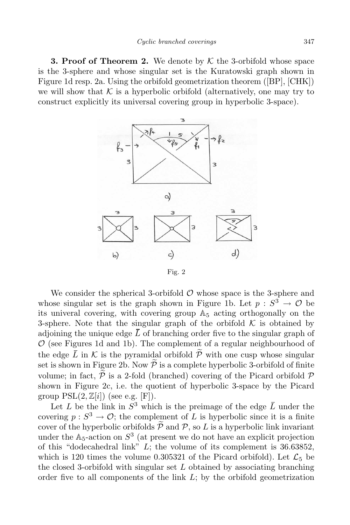**3. Proof of Theorem 2.** We denote by *K* the 3-orbifold whose space is the 3-sphere and whose singular set is the Kuratowski graph shown in Figure 1d resp. 2a. Using the orbifold geometrization theorem ([BP], [CHK]) we will show that  $K$  is a hyperbolic orbifold (alternatively, one may try to construct explicitly its universal covering group in hyperbolic 3-space).



We consider the spherical 3-orbifold  $\mathcal O$  whose space is the 3-sphere and whose singular set is the graph shown in Figure 1b. Let  $p : S^3 \to \mathcal{O}$  be its univeral covering, with covering group  $\mathbb{A}_5$  acting orthogonally on the 3-sphere. Note that the singular graph of the orbifold  $K$  is obtained by adjoining the unique edge  $\bar{L}$  of branching order five to the singular graph of *O* (see Figures 1d and 1b). The complement of a regular neighbourhood of the edge  $\overline{L}$  in  $\overline{K}$  is the pyramidal orbifold  $\widetilde{P}$  with one cusp whose singular set is shown in Figure 2b. Now  $\widetilde{\mathcal{P}}$  is a complete hyperbolic 3-orbifold of finite volume; in fact,  $\hat{P}$  is a 2-fold (branched) covering of the Picard orbifold  $\hat{P}$ shown in Figure 2c, i.e. the quotient of hyperbolic 3-space by the Picard group  $PSL(2, \mathbb{Z}[i])$  (see e.g. [F]).

Let *L* be the link in  $S^3$  which is the preimage of the edge  $\overline{L}$  under the covering  $p: S^3 \to \mathcal{O}$ ; the complement of *L* is hyperbolic since it is a finite cover of the hyperbolic orbifolds  $\widetilde{\mathcal{P}}$  and  $\mathcal{P}$ , so *L* is a hyperbolic link invariant under the  $\mathbb{A}_5$ -action on  $S^3$  (at present we do not have an explicit projection of this "dodecahedral link" *L*; the volume of its complement is 36.63852, which is 120 times the volume 0.305321 of the Picard orbifold). Let  $\mathcal{L}_5$  be the closed 3-orbifold with singular set *L* obtained by associating branching order five to all components of the link *L*; by the orbifold geometrization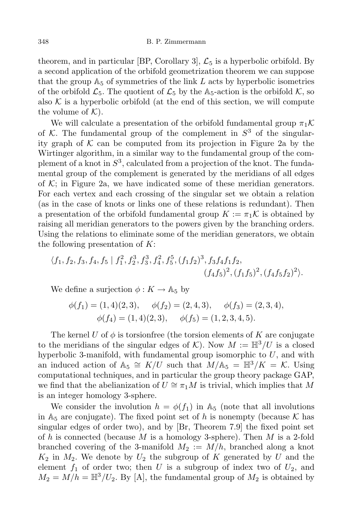## 348 B. P. Zimmermann

theorem, and in particular [BP, Corollary 3],  $\mathcal{L}_5$  is a hyperbolic orbifold. By a second application of the orbifold geometrization theorem we can suppose that the group  $A_5$  of symmetries of the link  $L$  acts by hyperbolic isometries of the orbifold  $\mathcal{L}_5$ . The quotient of  $\mathcal{L}_5$  by the A<sub>5</sub>-action is the orbifold  $\mathcal{K}$ , so also  $K$  is a hyperbolic orbifold (at the end of this section, we will compute the volume of  $K$ ).

We will calculate a presentation of the orbifold fundamental group  $\pi_1 \mathcal{K}$ of *K*. The fundamental group of the complement in  $S^3$  of the singularity graph of  $K$  can be computed from its projection in Figure 2a by the Wirtinger algorithm, in a similar way to the fundamental group of the complement of a knot in *S* 3 , calculated from a projection of the knot. The fundamental group of the complement is generated by the meridians of all edges of  $K$ ; in Figure 2a, we have indicated some of these meridian generators. For each vertex and each crossing of the singular set we obtain a relation (as in the case of knots or links one of these relations is redundant). Then a presentation of the orbifold fundamental group  $K := \pi_1 \mathcal{K}$  is obtained by raising all meridian generators to the powers given by the branching orders. Using the relations to eliminate some of the meridian generators, we obtain the following presentation of *K*:

$$
\langle f_1, f_2, f_3, f_4, f_5 | f_1^2, f_2^3, f_3^3, f_4^2, f_5^5, (f_1 f_2)^3, f_3 f_4 f_1 f_2, (f_4 f_5)^2, (f_1 f_5)^2, (f_4 f_5 f_2)^2 \rangle.
$$

We define a surjection  $\phi: K \to \mathbb{A}_5$  by

$$
\phi(f_1) = (1, 4)(2, 3), \quad \phi(f_2) = (2, 4, 3), \quad \phi(f_3) = (2, 3, 4), \n\phi(f_4) = (1, 4)(2, 3), \quad \phi(f_5) = (1, 2, 3, 4, 5).
$$

The kernel *U* of  $\phi$  is torsionfree (the torsion elements of *K* are conjugate to the meridians of the singular edges of  $K$ ). Now  $M := \mathbb{H}^3/U$  is a closed hyperbolic 3-manifold, with fundamental group isomorphic to *U*, and with an induced action of  $\mathbb{A}_5 \cong K/U$  such that  $M/\mathbb{A}_5 = \mathbb{H}^3/K = \mathcal{K}$ . Using computational techniques, and in particular the group theory package GAP, we find that the abelianization of  $U \cong \pi_1 M$  is trivial, which implies that M is an integer homology 3-sphere.

We consider the involution  $h = \phi(f_1)$  in  $\mathbb{A}_5$  (note that all involutions in  $A_5$  are conjugate). The fixed point set of h is nonempty (because  $K$  has singular edges of order two), and by [Br, Theorem 7.9] the fixed point set of *h* is connected (because *M* is a homology 3-sphere). Then *M* is a 2-fold branched covering of the 3-manifold  $M_2 := M/h$ , branched along a knot  $K_2$  in  $M_2$ . We denote by  $U_2$  the subgroup of  $K$  generated by  $U$  and the element  $f_1$  of order two; then U is a subgroup of index two of  $U_2$ , and  $M_2 = M/h = \mathbb{H}^3/U_2$ . By [A], the fundamental group of  $M_2$  is obtained by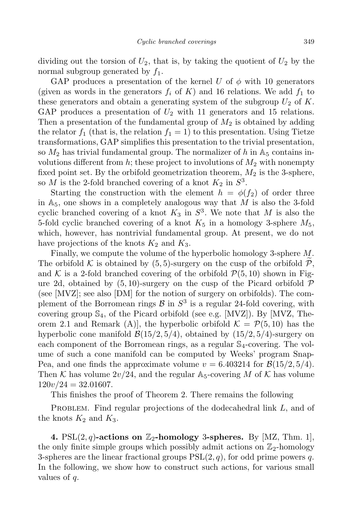dividing out the torsion of  $U_2$ , that is, by taking the quotient of  $U_2$  by the normal subgroup generated by *f*1.

GAP produces a presentation of the kernel *U* of  $\phi$  with 10 generators (given as words in the generators  $f_i$  of  $K$ ) and 16 relations. We add  $f_1$  to these generators and obtain a generating system of the subgroup  $U_2$  of  $K$ . GAP produces a presentation of  $U_2$  with 11 generators and 15 relations. Then a presentation of the fundamental group of *M*<sup>2</sup> is obtained by adding the relator  $f_1$  (that is, the relation  $f_1 = 1$ ) to this presentation. Using Tietze transformations, GAP simplifies this presentation to the trivial presentation, so  $M_2$  has trivial fundamental group. The normalizer of h in  $\mathbb{A}_5$  contains involutions different from  $h$ ; these project to involutions of  $M_2$  with nonempty fixed point set. By the orbifold geometrization theorem,  $M_2$  is the 3-sphere, so *M* is the 2-fold branched covering of a knot  $K_2$  in  $S^3$ .

Starting the construction with the element  $h = \phi(f_2)$  of order three in  $\mathbb{A}_5$ , one shows in a completely analogous way that M is also the 3-fold cyclic branched covering of a knot  $K_3$  in  $S^3$ . We note that M is also the 5-fold cyclic branched covering of a knot  $K_5$  in a homology 3-sphere  $M_5$ , which, however, has nontrivial fundamental group. At present, we do not have projections of the knots  $K_2$  and  $K_3$ .

Finally, we compute the volume of the hyperbolic homology 3-sphere *M*. The orbifold  $K$  is obtained by  $(5, 5)$ -surgery on the cusp of the orbifold  $P$ , and  $K$  is a 2-fold branched covering of the orbifold  $P(5, 10)$  shown in Figure 2d, obtained by  $(5,10)$ -surgery on the cusp of the Picard orbifold  $\mathcal P$ (see [MVZ]; see also [DM] for the notion of surgery on orbifolds). The complement of the Borromean rings  $\mathcal{B}$  in  $S^3$  is a regular 24-fold covering, with covering group  $\mathbb{S}_4$ , of the Picard orbifold (see e.g. [MVZ]). By [MVZ, Theorem 2.1 and Remark  $(A)$ , the hyperbolic orbifold  $K = \mathcal{P}(5, 10)$  has the hyperbolic cone manifold  $\mathcal{B}(15/2, 5/4)$ , obtained by  $(15/2, 5/4)$ -surgery on each component of the Borromean rings, as a regular  $\mathbb{S}_4$ -covering. The volume of such a cone manifold can be computed by Weeks' program Snap-Pea, and one finds the approximate volume  $v = 6.403214$  for  $\mathcal{B}(15/2, 5/4)$ . Then *K* has volume  $2v/24$ , and the regular  $A_5$ -covering *M* of *K* has volume  $120v/24 = 32.01607.$ 

This finishes the proof of Theorem 2. There remains the following

PROBLEM. Find regular projections of the dodecahedral link L, and of the knots  $K_2$  and  $K_3$ .

**4.** PSL $(2, q)$ -actions on  $\mathbb{Z}_2$ -homology 3-spheres. By [MZ, Thm. 1], the only finite simple groups which possibly admit actions on  $\mathbb{Z}_2$ -homology 3-spheres are the linear fractional groups  $PSL(2, q)$ , for odd prime powers q. In the following, we show how to construct such actions, for various small values of *q*.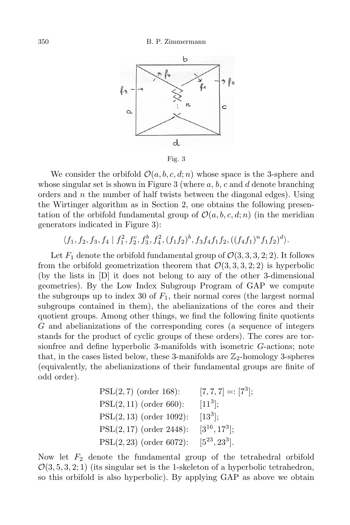

Fig. 3

We consider the orbifold  $\mathcal{O}(a, b, c, d; n)$  whose space is the 3-sphere and whose singular set is shown in Figure 3 (where *a*, *b*, *c* and *d* denote branching orders and *n* the number of half twists between the diagonal edges). Using the Wirtinger algorithm as in Section 2, one obtains the following presentation of the orbifold fundamental group of  $\mathcal{O}(a, b, c, d; n)$  (in the meridian generators indicated in Figure 3):

 $\langle f_1, f_2, f_3, f_4 | f_1^2, f_2^c, f_3^b, f_4^2, (f_1f_2)^b, f_3f_4f_1f_2, ((f_4f_1)^n f_1f_2)^d \rangle.$ 

Let  $F_1$  denote the orbifold fundamental group of  $\mathcal{O}(3, 3, 3, 2; 2)$ . It follows from the orbifold geometrization theorem that  $\mathcal{O}(3, 3, 3, 2; 2)$  is hyperbolic (by the lists in [D] it does not belong to any of the other 3-dimensional geometries). By the Low Index Subgroup Program of GAP we compute the subgroups up to index 30 of  $F_1$ , their normal cores (the largest normal subgroups contained in them), the abelianizations of the cores and their quotient groups. Among other things, we find the following finite quotients *G* and abelianizations of the corresponding cores (a sequence of integers stands for the product of cyclic groups of these orders). The cores are torsionfree and define hyperbolic 3-manifolds with isometric *G*-actions; note that, in the cases listed below, these 3-manifolds are  $\mathbb{Z}_2$ -homology 3-spheres (equivalently, the abelianizations of their fundamental groups are finite of odd order).

PSL(2, 7) (order 168): 
$$
[7, 7, 7] =: [7^3];
$$
  
\nPSL(2, 11) (order 660):  $[11^3];$   
\nPSL(2, 13) (order 1092):  $[13^3];$   
\nPSL(2, 17) (order 2448):  $[3^{16}, 17^3];$   
\nPSL(2, 23) (order 6072):  $[5^{23}, 23^3].$ 

Now let *F*<sup>2</sup> denote the fundamental group of the tetrahedral orbifold  $\mathcal{O}(3, 5, 3, 2; 1)$  (its singular set is the 1-skeleton of a hyperbolic tetrahedron, so this orbifold is also hyperbolic). By applying GAP as above we obtain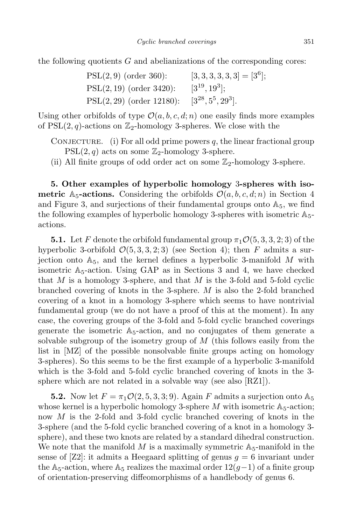the following quotients *G* and abelianizations of the corresponding cores:

| $PSL(2,9)$ (order 360):     | $[3,3,3,3,3,3] = [36];$ |
|-----------------------------|-------------------------|
| $PSL(2, 19)$ (order 3420):  | $[3^{19}, 19^3];$       |
| $PSL(2, 29)$ (order 12180): | $[3^{28}, 5^5, 29^3]$ . |

Using other orbifolds of type  $\mathcal{O}(a, b, c, d; n)$  one easily finds more examples of  $PSL(2, q)$ -actions on  $\mathbb{Z}_2$ -homology 3-spheres. We close with the

CONJECTURE. (i) For all odd prime powers  $q$ , the linear fractional group  $PSL(2,q)$  acts on some  $\mathbb{Z}_2$ -homology 3-sphere.

(ii) All finite groups of odd order act on some  $\mathbb{Z}_2$ -homology 3-sphere.

**5. Other examples of hyperbolic homology** 3**-spheres with isometric** A<sub>5</sub>-actions. Considering the orbifolds  $\mathcal{O}(a, b, c, d; n)$  in Section 4 and Figure 3, and surjections of their fundamental groups onto  $\mathbb{A}_5$ , we find the following examples of hyperbolic homology 3-spheres with isometric  $\mathbb{A}_{5}$ actions.

**5.1.** Let *F* denote the orbifold fundamental group  $\pi_1 \mathcal{O}(5, 3, 3, 2; 3)$  of the hyperbolic 3-orbifold  $\mathcal{O}(5, 3, 3, 2; 3)$  (see Section 4); then *F* admits a surjection onto  $A_5$ , and the kernel defines a hyperbolic 3-manifold M with isometric  $A_5$ -action. Using GAP as in Sections 3 and 4, we have checked that *M* is a homology 3-sphere, and that *M* is the 3-fold and 5-fold cyclic branched covering of knots in the 3-sphere. *M* is also the 2-fold branched covering of a knot in a homology 3-sphere which seems to have nontrivial fundamental group (we do not have a proof of this at the moment). In any case, the covering groups of the 3-fold and 5-fold cyclic branched coverings generate the isometric  $A_5$ -action, and no conjugates of them generate a solvable subgroup of the isometry group of *M* (this follows easily from the list in [MZ] of the possible nonsolvable finite groups acting on homology 3-spheres). So this seems to be the first example of a hyperbolic 3-manifold which is the 3-fold and 5-fold cyclic branched covering of knots in the 3 sphere which are not related in a solvable way (see also [RZ1]).

**5.2.** Now let  $F = \pi_1 \mathcal{O}(2, 5, 3, 3, 9)$ . Again *F* admits a surjection onto  $\mathbb{A}_5$ whose kernel is a hyperbolic homology 3-sphere  $M$  with isometric  $A_5$ -action; now *M* is the 2-fold and 3-fold cyclic branched covering of knots in the 3-sphere (and the 5-fold cyclic branched covering of a knot in a homology 3 sphere), and these two knots are related by a standard dihedral construction. We note that the manifold  $M$  is a maximally symmetric  $A_5$ -manifold in the sense of  $[Z2]$ : it admits a Heegaard splitting of genus  $q = 6$  invariant under the A<sub>5</sub>-action, where A<sub>5</sub> realizes the maximal order  $12(q-1)$  of a finite group of orientation-preserving diffeomorphisms of a handlebody of genus 6.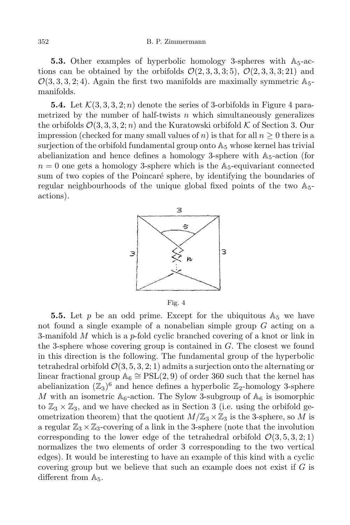**5.3.** Other examples of hyperbolic homology 3-spheres with  $A_5$ -actions can be obtained by the orbifolds  $\mathcal{O}(2,3,3,3;5)$ ,  $\mathcal{O}(2,3,3,3;21)$  and  $\mathcal{O}(3,3,3,2;4)$ . Again the first two manifolds are maximally symmetric  $\mathbb{A}_{5}$ manifolds.

**5.4.** Let  $\mathcal{K}(3,3,3,2;n)$  denote the series of 3-orbifolds in Figure 4 parametrized by the number of half-twists *n* which simultaneously generalizes the orbifolds  $\mathcal{O}(3, 3, 3, 2; n)$  and the Kuratowski orbifold  $\mathcal K$  of Section 3. Our impression (checked for many small values of *n*) is that for all  $n \geq 0$  there is a surjection of the orbifold fundamental group onto  $A_5$  whose kernel has trivial abelianization and hence defines a homology 3-sphere with  $A_5$ -action (for  $n = 0$  one gets a homology 3-sphere which is the  $A_5$ -equivariant connected sum of two copies of the Poincaré sphere, by identifying the boundaries of regular neighbourhoods of the unique global fixed points of the two A5 actions).



Fig. 4

**5.5.** Let  $p$  be an odd prime. Except for the ubiquitous  $A_5$  we have not found a single example of a nonabelian simple group *G* acting on a 3-manifold *M* which is a *p*-fold cyclic branched covering of a knot or link in the 3-sphere whose covering group is contained in *G*. The closest we found in this direction is the following. The fundamental group of the hyperbolic tetrahedral orbifold  $\mathcal{O}(3, 5, 3, 2; 1)$  admits a surjection onto the alternating or linear fractional group  $\mathbb{A}_6 \cong \mathrm{PSL}(2,9)$  of order 360 such that the kernel has abelianization  $(\mathbb{Z}_3)^6$  and hence defines a hyperbolic  $\mathbb{Z}_2$ -homology 3-sphere *M* with an isometric  $A_6$ -action. The Sylow 3-subgroup of  $A_6$  is isomorphic to  $\mathbb{Z}_3 \times \mathbb{Z}_3$ , and we have checked as in Section 3 (i.e. using the orbifold geometrization theorem) that the quotient  $M/\mathbb{Z}_3 \times \mathbb{Z}_3$  is the 3-sphere, so M is a regular  $\mathbb{Z}_3 \times \mathbb{Z}_3$ -covering of a link in the 3-sphere (note that the involution corresponding to the lower edge of the tetrahedral orbifold  $\mathcal{O}(3, 5, 3, 2; 1)$ normalizes the two elements of order 3 corresponding to the two vertical edges). It would be interesting to have an example of this kind with a cyclic covering group but we believe that such an example does not exist if *G* is different from  $\mathbb{A}_5$ .